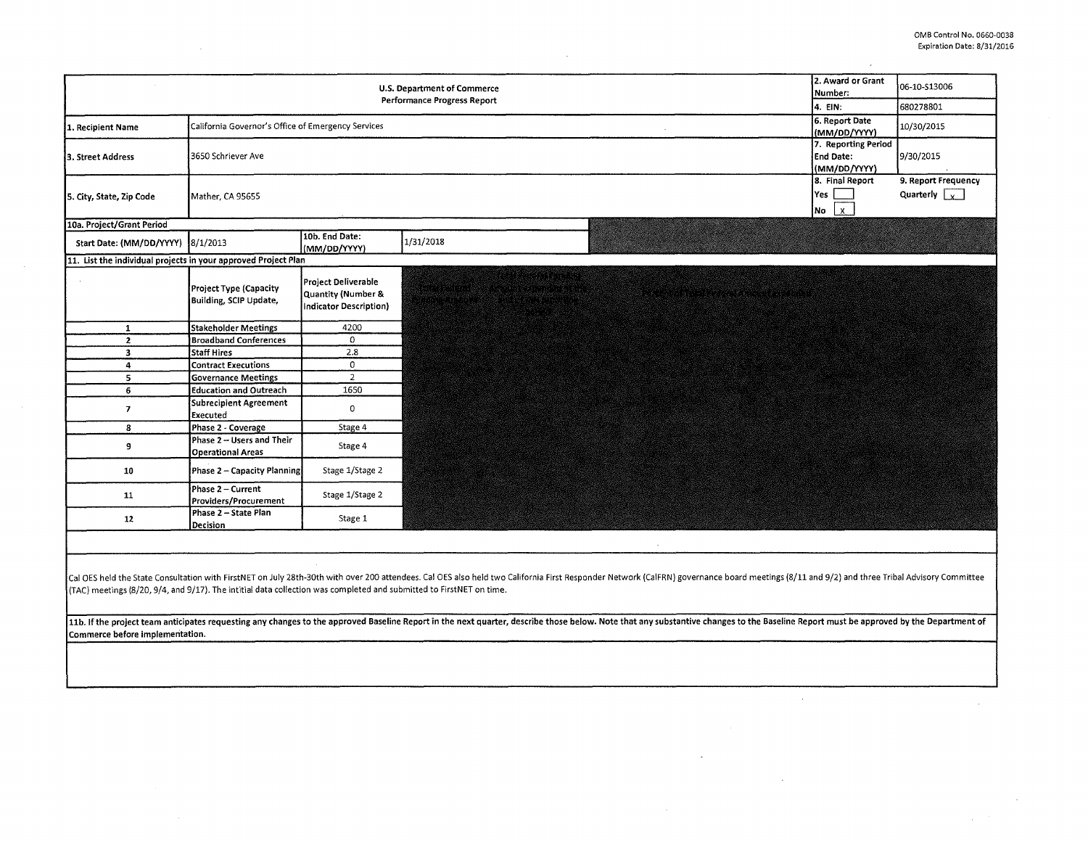$\sim$ 

 $\sim$ 

 $\sim$ 

 $\sim 10^7$ 

|                                                                                                                                                        |                                                         |                                                                                | <b>U.S. Department of Commerce</b><br><b>Performance Progress Report</b>                                                                                                                                                                                                                                                                                                                                                                                         | 2. Award or Grant<br>Number:<br>4. EIN:                 | 06-10-513006<br>680278801                   |
|--------------------------------------------------------------------------------------------------------------------------------------------------------|---------------------------------------------------------|--------------------------------------------------------------------------------|------------------------------------------------------------------------------------------------------------------------------------------------------------------------------------------------------------------------------------------------------------------------------------------------------------------------------------------------------------------------------------------------------------------------------------------------------------------|---------------------------------------------------------|---------------------------------------------|
|                                                                                                                                                        |                                                         |                                                                                |                                                                                                                                                                                                                                                                                                                                                                                                                                                                  |                                                         |                                             |
| 1. Recipient Name                                                                                                                                      | California Governor's Office of Emergency Services      |                                                                                |                                                                                                                                                                                                                                                                                                                                                                                                                                                                  | 6. Report Date<br>(MM/DD/YYYY)                          | 10/30/2015                                  |
| 3. Street Address                                                                                                                                      | 3650 Schriever Ave                                      |                                                                                |                                                                                                                                                                                                                                                                                                                                                                                                                                                                  | 7. Reporting Period<br><b>End Date:</b><br>(MM/DD/YYYY) | 9/30/2015                                   |
| 5. City, State, Zip Code                                                                                                                               | Mather, CA 95655                                        |                                                                                |                                                                                                                                                                                                                                                                                                                                                                                                                                                                  | 8. Final Report<br>Yes<br>$\mathbf{x}$<br>No            | 9. Report Frequency<br>Quarterly $\sqrt{x}$ |
| 10a. Project/Grant Period                                                                                                                              |                                                         |                                                                                |                                                                                                                                                                                                                                                                                                                                                                                                                                                                  |                                                         |                                             |
| Start Date: (MM/DD/YYYY) 8/1/2013                                                                                                                      |                                                         | 10b. End Date:<br>(MM/DD/YYYY)                                                 | 1/31/2018                                                                                                                                                                                                                                                                                                                                                                                                                                                        |                                                         |                                             |
| 11. List the individual projects in your approved Project Plan                                                                                         |                                                         |                                                                                |                                                                                                                                                                                                                                                                                                                                                                                                                                                                  |                                                         |                                             |
|                                                                                                                                                        | <b>Project Type (Capacity</b><br>Building, SCIP Update, | Project Deliverable<br><b>Quantity (Number &amp;</b><br>Indicator Description) | A PROTECTIVE CONTRACTO                                                                                                                                                                                                                                                                                                                                                                                                                                           |                                                         |                                             |
| $\mathbf{1}$                                                                                                                                           | <b>Stakeholder Meetings</b>                             | 4200                                                                           |                                                                                                                                                                                                                                                                                                                                                                                                                                                                  |                                                         |                                             |
| $\overline{2}$                                                                                                                                         | <b>Broadband Conferences</b>                            | 0                                                                              |                                                                                                                                                                                                                                                                                                                                                                                                                                                                  |                                                         |                                             |
| $\overline{\mathbf{3}}$                                                                                                                                | <b>Staff Hires</b>                                      | 2.8                                                                            |                                                                                                                                                                                                                                                                                                                                                                                                                                                                  |                                                         |                                             |
| 4                                                                                                                                                      | <b>Contract Executions</b>                              | $\mathbf 0$                                                                    |                                                                                                                                                                                                                                                                                                                                                                                                                                                                  |                                                         |                                             |
| 5 <sup>5</sup>                                                                                                                                         | <b>Governance Meetings</b>                              | $\overline{2}$                                                                 |                                                                                                                                                                                                                                                                                                                                                                                                                                                                  |                                                         |                                             |
| 6                                                                                                                                                      | <b>Education and Outreach</b>                           | 1650                                                                           |                                                                                                                                                                                                                                                                                                                                                                                                                                                                  |                                                         |                                             |
| $\overline{\phantom{a}}$                                                                                                                               | <b>Subrecipient Agreement</b><br>Executed               | 0                                                                              |                                                                                                                                                                                                                                                                                                                                                                                                                                                                  |                                                         |                                             |
| 8                                                                                                                                                      | Phase 2 - Coverage                                      | Stage 4                                                                        |                                                                                                                                                                                                                                                                                                                                                                                                                                                                  |                                                         |                                             |
| 9                                                                                                                                                      | Phase 2 - Users and Their<br><b>Operational Areas</b>   | Stage 4                                                                        |                                                                                                                                                                                                                                                                                                                                                                                                                                                                  |                                                         |                                             |
| 10                                                                                                                                                     | Phase 2 - Capacity Planning                             | Stage 1/Stage 2                                                                |                                                                                                                                                                                                                                                                                                                                                                                                                                                                  |                                                         |                                             |
| 11                                                                                                                                                     | Phase 2 - Current<br>Providers/Procurement              | Stage 1/Stage 2                                                                |                                                                                                                                                                                                                                                                                                                                                                                                                                                                  |                                                         |                                             |
| 12                                                                                                                                                     | Phase 2 - State Plan<br>Decision                        | Stage 1                                                                        |                                                                                                                                                                                                                                                                                                                                                                                                                                                                  |                                                         |                                             |
| (TAC) meetings (8/20, 9/4, and 9/17). The intitial data collection was completed and submitted to FirstNET on time.<br>Commerce before implementation. |                                                         |                                                                                | Cal OES held the State Consultation with FirstNET on July 28th-30th with over 200 attendees. Cal OES also held two California First Responder Network (CalFRN) governance board meetings (8/11 and 9/2) and three Tribal Advis<br>11b. If the project team anticipates requesting any changes to the approved Baseline Report in the next quarter, describe those below. Note that any substantive changes to the Baseline Report must be approved by the Depart |                                                         |                                             |
|                                                                                                                                                        |                                                         |                                                                                |                                                                                                                                                                                                                                                                                                                                                                                                                                                                  |                                                         |                                             |

 $\sim$ 

 $\sim$ 

 $\sim$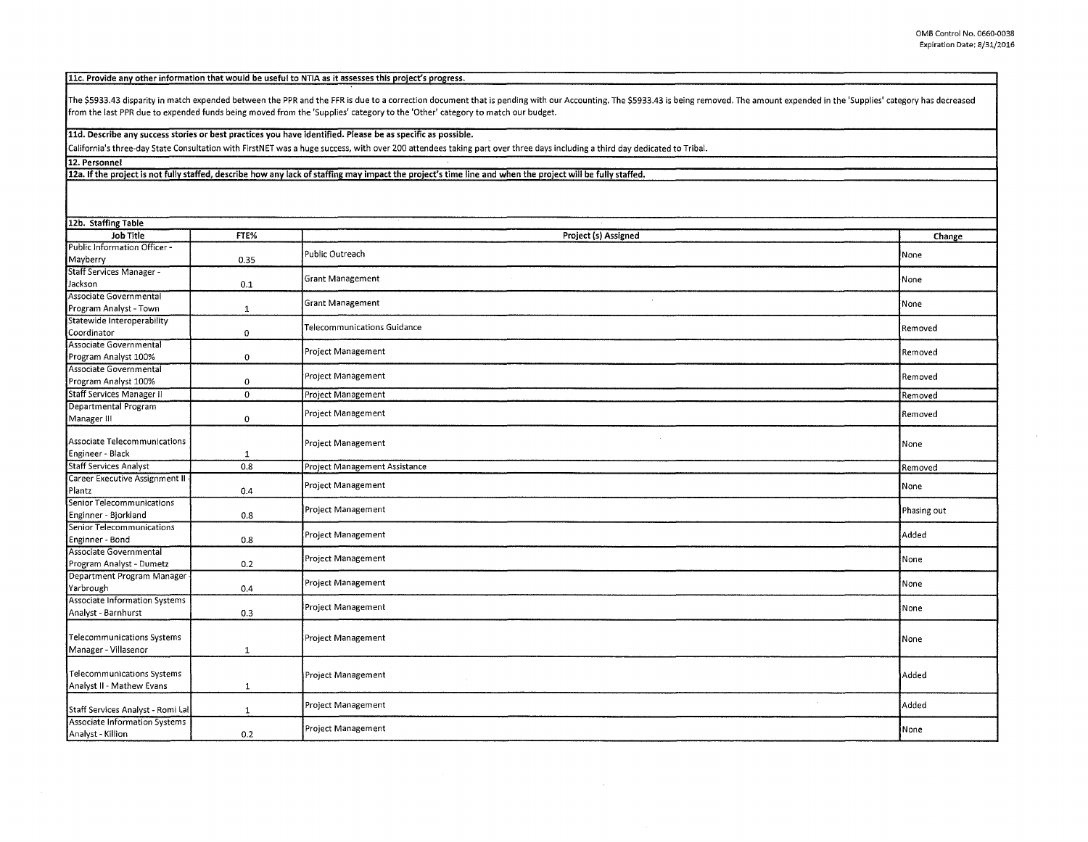11c. Provide any other information that would be useful to NTIA as it assesses this project's progress.

The \$5933.43 disparity in match expended between the PPR and the FFR is due to a correction document that is pending with our Accounting. The \$5933.43 is being removed. The amount expended in the 'Supplies' category has de from the last PPR due to expended funds being moved from the 'Supplies' category to the 'Other' category to match our budget.

lld. Describe any success stories or best practices you have identified. Please be as specific as possible.

California's three-day State Consultation with FirstNET was a huge success, with over 200 attendees taking part over three days including a third day dedicated to Tribal.

12. Personnel

12a. If the project is not fully staffed, describe how any lack of staffing may impact the project's time line and when the project will be fully staffed.

| 12b. Staffing Table                  |              |                               |             |
|--------------------------------------|--------------|-------------------------------|-------------|
| Job Title                            | FTE%         | Project (s) Assigned          | Change      |
| Public Information Officer -         |              | Public Outreach               | None        |
| Mayberry                             | 0.35         |                               |             |
| Staff Services Manager -             |              | <b>Grant Management</b>       | None        |
| Jackson                              | 0.1          |                               |             |
| Associate Governmental               |              | <b>Grant Management</b>       | None        |
| Program Analyst - Town               | 1            |                               |             |
| Statewide Interoperability           |              | Telecommunications Guidance   | Removed     |
| Coordinator                          | 0            |                               |             |
| Associate Governmental               |              | Project Management            | Removed     |
| Program Analyst 100%                 | $\mathbf 0$  |                               |             |
| Associate Governmental               |              | Project Management            | Removed     |
| Program Analyst 100%                 | 0            |                               |             |
| <b>Staff Services Manager II</b>     | $\mathbf{0}$ | Project Management            | Removed     |
| Departmental Program                 |              | Project Management            | Removed     |
| Manager III                          | 0            |                               |             |
| Associate Telecommunications         |              |                               |             |
| Engineer - Black                     | $\mathbf{1}$ | Project Management            | None        |
| <b>Staff Services Analyst</b>        | 0.8          | Project Management Assistance |             |
| Career Executive Assignment II -     |              |                               | Removed     |
| Plantz                               | 0.4          | Project Management            | None        |
| Senior Telecommunications            |              |                               |             |
| Enginner - Bjorkland                 | 0.8          | Project Management            | Phasing out |
| Senior Telecommunications            |              |                               |             |
| Enginner - Bond                      | 0.8          | Project Management            | Added       |
| Associate Governmental               |              |                               |             |
| Program Analyst - Dumetz             | 0.2          | Project Management            | None        |
| Department Program Manager           |              |                               |             |
| Yarbrough                            | 0.4          | Project Management            | None        |
| <b>Associate Information Systems</b> |              |                               |             |
| Analyst - Barnhurst                  | 0.3          | Project Management            | None        |
|                                      |              |                               |             |
| <b>Telecommunications Systems</b>    |              | Project Management            | None        |
| Manager - Villasenor                 | $\mathbf{1}$ |                               |             |
|                                      |              |                               |             |
| Telecommunications Systems           |              | Project Management            | Added       |
| Analyst II - Mathew Evans            | $\mathbf{1}$ |                               |             |
|                                      |              | Project Management            | Added       |
| Staff Services Analyst - Romi Lal    | $\mathbf{1}$ |                               |             |
| Associate Information Systems        |              | Project Management            | None        |
| Analyst - Killion                    | 0.2          |                               |             |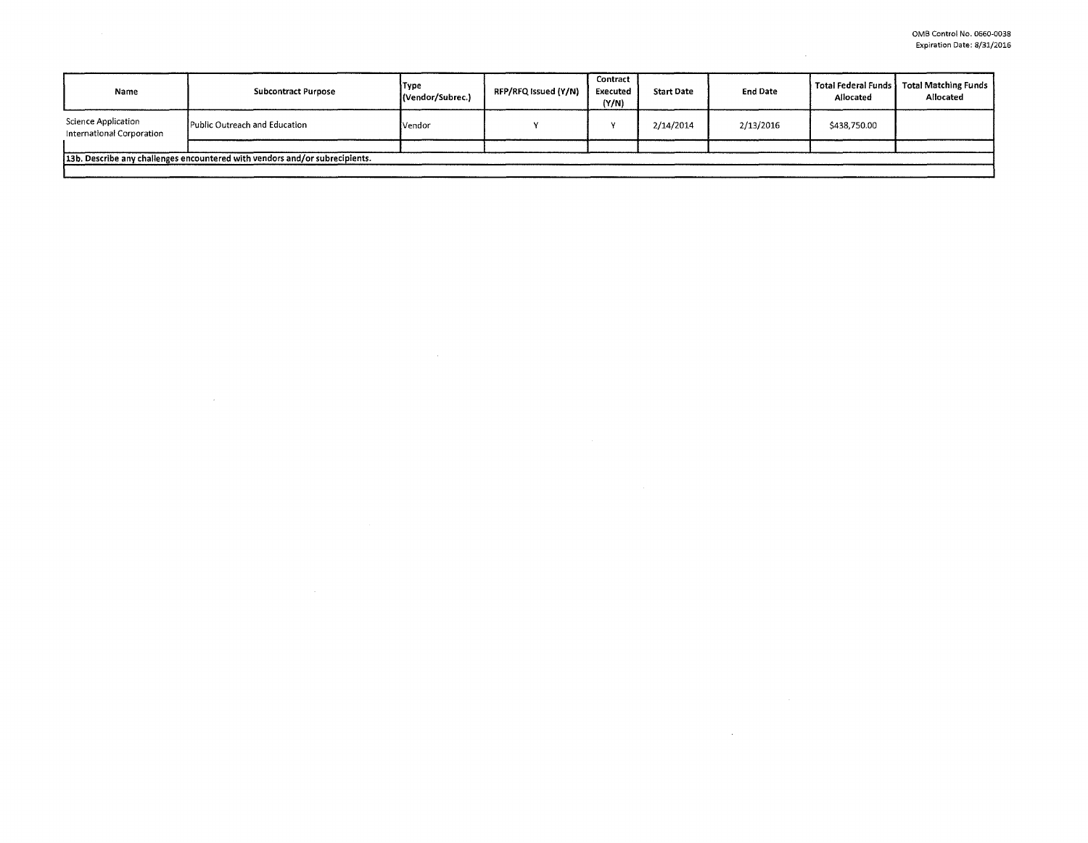$\sim 10^7$ 

| Name                                                    | <b>Subcontract Purpose</b>                                                    | Type<br>(Vendor/Subrec.) | RFP/RFQ Issued (Y/N) | Contract<br>Executed<br>(Y/N) | <b>Start Date</b> | <b>End Date</b> | Total Federal Funds<br>Allocated | Total Matching Funds<br>Allocated |
|---------------------------------------------------------|-------------------------------------------------------------------------------|--------------------------|----------------------|-------------------------------|-------------------|-----------------|----------------------------------|-----------------------------------|
| <b>Science Application</b><br>International Corporation | Public Outreach and Education                                                 | Vendor                   |                      |                               | 2/14/2014         | 2/13/2016       | \$438,750.00                     |                                   |
|                                                         | [13b, Describe any challenges encountered with vendors and/or subrecipients.] |                          |                      |                               |                   |                 |                                  |                                   |

 $\mathcal{L}(\mathcal{L}(\mathcal{L}))$  and  $\mathcal{L}(\mathcal{L}(\mathcal{L}))$  . The contribution of  $\mathcal{L}(\mathcal{L})$